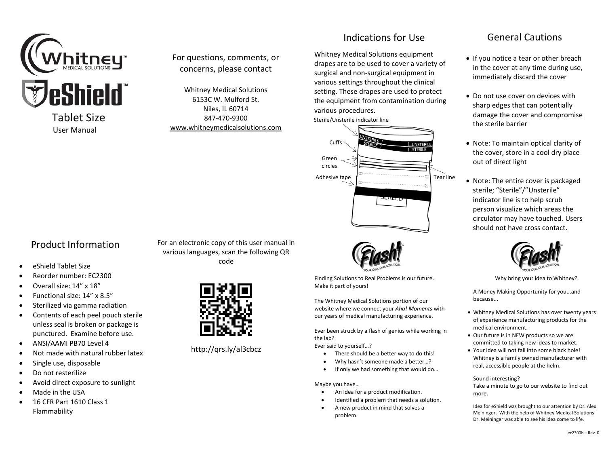

Tablet Size User Manual

### For questions, comments, or concerns, please contact

Whitney Medical Solutions 6153C W. Mulford St. Niles, IL 60714 847-470-9300 [www.whitneymedicalsolutions.com](http://www.whitneymedicalsolutions.com/)

## Indications for Use

Whitney Medical Solutions equipment drapes are to be used to cover a variety of surgical and non-surgical equipment in various settings throughout the clinical setting. These drapes are used to protect the equipment from contamination during various procedures.





Finding Solutions to Real Problems is our future. Make it part of yours!

The Whitney Medical Solutions portion of our website where we connect your *Aha! Moments* with our years of medical manufacturing experience.

Ever been struck by a flash of genius while working in the lab?

Ever said to yourself…?

- There should be a better way to do this!
- Why hasn't someone made a better…?
- If only we had something that would do…

Maybe you have…

- An idea for a product modification.
- Identified a problem that needs a solution.
- A new product in mind that solves a problem.

# General Cautions

- If you notice a tear or other breach in the cover at any time during use, immediately discard the cover
- Do not use cover on devices with sharp edges that can potentially damage the cover and compromise the sterile barrier
- Note: To maintain optical clarity of the cover, store in a cool dry place out of direct light
- Note: The entire cover is packaged sterile; "Sterile"/"Unsterile" indicator line is to help scrub person visualize which areas the circulator may have touched. Users should not have cross contact.



Why bring your idea to Whitney?

A Money Making Opportunity for you...and because...

- Whitney Medical Solutions has over twenty years of experience manufacturing products for the medical environment.
- Our future is in NEW products so we are committed to taking new ideas to market.
- Your idea will not fall into some black hole! Whitney is a family owned manufacturer with real, accessible people at the helm.

#### Sound interesting?

Take a minute to go to our website to find out more.

Idea for eShield was brought to our attention by Dr. Alex Meininger. With the help of Whitney Medical Solutions Dr. Meininger was able to see his idea come to life.

# Product Information

- eShield Tablet Size
- Reorder number: EC2300
- Overall size: 14" x 18"
- Functional size: 14" x 8.5"
- Sterilized via gamma radiation
- Contents of each peel pouch sterile unless seal is broken or package is punctured. Examine before use.
- ANSI/AAMI PB70 Level 4
- Not made with natural rubber latex
- Single use, disposable
- Do not resterilize
- Avoid direct exposure to sunlight
- Made in the USA
- 16 CFR Part 1610 Class 1 Flammability

For an electronic copy of this user manual in various languages, scan the following QR code



http://qrs.ly/al3cbcz